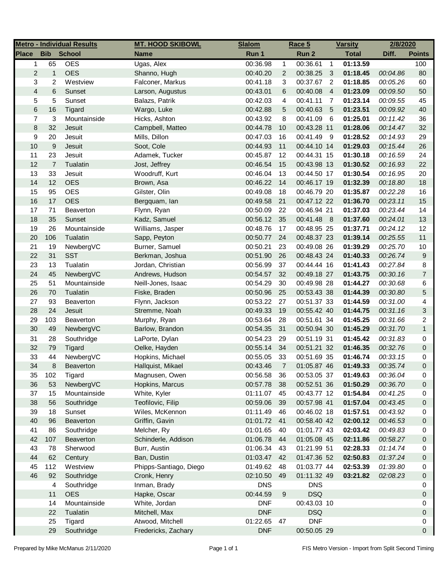|                         |                | <b>Metro - Individual Results</b> | <b>MT. HOOD SKIBOWL</b> | <b>Slalom</b> |                | Race 5      |                 | <b>Varsity</b> | 2/8/2020 |                |
|-------------------------|----------------|-----------------------------------|-------------------------|---------------|----------------|-------------|-----------------|----------------|----------|----------------|
| <b>Place</b>            | <b>Bib</b>     | <b>School</b>                     | <b>Name</b>             | Run 1         |                | Run 2       |                 | <b>Total</b>   | Diff.    | <b>Points</b>  |
| 1                       | 65             | <b>OES</b>                        | Ugas, Alex              | 00:36.98      | $\mathbf{1}$   | 00:36.61    | $\overline{1}$  | 01:13.59       |          | 100            |
| $\overline{2}$          | $\mathbf{1}$   | <b>OES</b>                        | Shanno, Hugh            | 00:40.20      | $\overline{2}$ | 00:38.25    | $\mathbf{3}$    | 01:18.45       | 00:04.86 | 80             |
| 3                       | 2              | Westview                          | Falconer, Markus        | 00:41.18      | 3              | 00:37.67    | $\overline{2}$  | 01:18.85       | 00:05.26 | 60             |
| $\overline{\mathbf{4}}$ | 6              | Sunset                            | Larson, Augustus        | 00:43.01      | 6              | 00:40.08    | $\overline{4}$  | 01:23.09       | 00:09.50 | 50             |
| 5                       | 5              | Sunset                            | Balazs, Patrik          | 00:42.03      | 4              | 00:41.11    | $\overline{7}$  | 01:23.14       | 00:09.55 | 45             |
| 6                       | 16             | Tigard                            | Wargo, Luke             | 00:42.88      | 5              | 00:40.63    | $5\overline{5}$ | 01:23.51       | 00:09.92 | 40             |
| 7                       | 3              | Mountainside                      | Hicks, Ashton           | 00:43.92      | 8              | 00:41.09    | 6               | 01:25.01       | 00:11.42 | 36             |
| 8                       | 32             | Jesuit                            | Campbell, Matteo        | 00:44.78      | 10             | 00:43.28 11 |                 | 01:28.06       | 00:14.47 | 32             |
| 9                       | 20             | Jesuit                            | Mills, Dillon           | 00:47.03      | 16             | 00:41.49 9  |                 | 01:28.52       | 00:14.93 | 29             |
| 10                      | 9              | Jesuit                            | Soot, Cole              | 00:44.93      | 11             | 00:44.10 14 |                 | 01:29.03       | 00:15.44 | 26             |
| 11                      | 23             | Jesuit                            | Adamek, Tucker          | 00:45.87      | 12             | 00:44.31 15 |                 | 01:30.18       | 00:16.59 | 24             |
| 12                      | $\overline{7}$ | Tualatin                          | Jost, Jeffrey           | 00:46.54      | 15             | 00:43.98 13 |                 | 01:30.52       | 00:16.93 | 22             |
| 13                      | 33             | Jesuit                            | Woodruff, Kurt          | 00:46.04      | 13             | 00:44.50 17 |                 | 01:30.54       | 00:16.95 | 20             |
| 14                      | 12             | <b>OES</b>                        | Brown, Asa              | 00:46.22      | 14             | 00:46.17 19 |                 | 01:32.39       | 00:18.80 | 18             |
| 15                      | 95             | <b>OES</b>                        | Gilster, Olin           | 00:49.08      | 18             | 00:46.79 20 |                 | 01:35.87       | 00:22.28 | 16             |
| 16                      | 17             | <b>OES</b>                        | Bergquam, lan           | 00:49.58      | 21             | 00:47.12 22 |                 | 01:36.70       | 00:23.11 | 15             |
| 17                      | 71             | Beaverton                         | Flynn, Ryan             | 00:50.09      | 22             | 00:46.94 21 |                 | 01:37.03       | 00:23.44 | 14             |
| 18                      | 35             | Sunset                            | Kadz, Samuel            | 00:56.12      | 35             | 00:41.48 8  |                 | 01:37.60       | 00:24.01 | 13             |
| 19                      | 26             | Mountainside                      | Williams, Jasper        | 00:48.76      | 17             | 00:48.95 25 |                 | 01:37.71       | 00:24.12 | 12             |
| 20                      | 106            | Tualatin                          | Sapp, Peyton            | 00:50.77      | 24             | 00:48.37 23 |                 | 01:39.14       | 00:25.55 | 11             |
| 21                      | 19             | NewbergVC                         | Burner, Samuel          | 00:50.21      | 23             | 00:49.08 26 |                 | 01:39.29       | 00:25.70 | $10$           |
| 22                      | 31             | <b>SST</b>                        | Berkman, Joshua         | 00:51.90      | 26             | 00:48.43 24 |                 | 01:40.33       | 00:26.74 | 9              |
| 23                      | 13             | Tualatin                          | Jordan, Christian       | 00:56.99      | 37             | 00:44.44 16 |                 | 01:41.43       | 00:27.84 | 8              |
| 24                      | 45             | NewbergVC                         | Andrews, Hudson         | 00:54.57      | 32             | 00:49.18 27 |                 | 01:43.75       | 00:30.16 | $\overline{7}$ |
| 25                      | 51             | Mountainside                      | Neill-Jones, Isaac      | 00:54.29      | 30             | 00:49.98 28 |                 | 01:44.27       | 00:30.68 | 6              |
| 26                      | 70             | Tualatin                          | Fiske, Braden           | 00:50.96      | 25             | 00:53.43 38 |                 | 01:44.39       | 00:30.80 | 5              |
| 27                      | 93             | Beaverton                         | Flynn, Jackson          | 00:53.22      | 27             | 00:51.37 33 |                 | 01:44.59       | 00:31.00 | 4              |
| 28                      | 24             | Jesuit                            | Stremme, Noah           | 00:49.33      | 19             | 00:55.42 40 |                 | 01:44.75       | 00:31.16 | 3              |
| 29                      | 103            | Beaverton                         | Murphy, Ryan            | 00:53.64      | 28             | 00:51.61 34 |                 | 01:45.25       | 00:31.66 | 2              |
| 30                      | 49             | NewbergVC                         | Barlow, Brandon         | 00:54.35      | 31             | 00:50.94 30 |                 | 01:45.29       | 00:31.70 | $\mathbf{1}$   |
| 31                      | 28             | Southridge                        | LaPorte, Dylan          | 00:54.23      | 29             | 00:51.19 31 |                 | 01:45.42       | 00:31.83 | 0              |
| 32                      | 79             | Tigard                            | Oelke, Hayden           | 00:55.14      | 34             | 00:51.21 32 |                 | 01:46.35       | 00:32.76 | 0              |
| 33                      | 44             | NewbergVC                         | Hopkins, Michael        | 00:55.05      | 33             | 00:51.69 35 |                 | 01:46.74       | 00:33.15 | 0              |
| 34                      | 8              | <b>Beaverton</b>                  | Hallquist, Mikael       | 00:43.46      | $\overline{7}$ | 01:05.87 46 |                 | 01:49.33       | 00:35.74 | 0              |
| 35                      | 102            | Tigard                            | Magnusen, Owen          | 00:56.58      | 36             | 00:53.05 37 |                 | 01:49.63       | 00:36.04 | 0              |
| 36                      | 53             | NewbergVC                         | Hopkins, Marcus         | 00:57.78      | 38             | 00:52.51 36 |                 | 01:50.29       | 00:36.70 | 0              |
| 37                      | 15             | Mountainside                      | White, Kyler            | 01:11.07      | 45             | 00:43.77 12 |                 | 01:54.84       | 00:41.25 | 0              |
| 38                      | 56             | Southridge                        | Teofilovic, Filip       | 00:59.06      | 39             | 00:57.98 41 |                 | 01:57.04       | 00:43.45 | 0              |
| 39                      | 18             | Sunset                            | Wiles, McKennon         | 01:11.49      | 46             | 00:46.02 18 |                 | 01:57.51       | 00:43.92 | 0              |
| 40                      | 96             | Beaverton                         | Griffin, Gavin          | 01:01.72      | 41             | 00:58.40 42 |                 | 02:00.12       | 00:46.53 | 0              |
| 41                      | 86             | Southridge                        | Melcher, Ry             | 01:01.65      | 40             | 01:01.77 43 |                 | 02:03.42       | 00:49.83 | 0              |
| 42                      | 107            | Beaverton                         | Schinderle, Addison     | 01:06.78      | 44             | 01:05.08 45 |                 | 02:11.86       | 00:58.27 | 0              |
| 43                      | 78             | Sherwood                          | Burr, Austin            | 01:06.34      | 43             | 01:21.99 51 |                 | 02:28.33       | 01:14.74 | 0              |
| 44                      | 62             | Century                           | Ban, Dustin             | 01:03.47      | 42             | 01:47.36 52 |                 | 02:50.83       | 01:37.24 | 0              |
| 45                      | 112            | Westview                          | Phipps-Santiago, Diego  | 01:49.62      | 48             | 01:03.77 44 |                 | 02:53.39       | 01:39.80 | 0              |
| 46                      | 92             | Southridge                        | Cronk, Henry            | 02:10.50      | 49             | 01:11.32 49 |                 | 03:21.82       | 02:08.23 | 0              |
|                         | 4              | Southridge                        | Inman, Brady            | <b>DNS</b>    |                | <b>DNS</b>  |                 |                |          | 0              |
|                         | 11             | <b>OES</b>                        | Hapke, Oscar            | 00:44.59      | 9              | <b>DSQ</b>  |                 |                |          | 0              |
|                         | 14             | Mountainside                      | White, Jordan           | <b>DNF</b>    |                | 00:43.03 10 |                 |                |          | 0              |
|                         | 22             | Tualatin                          | Mitchell, Max           | <b>DNF</b>    |                | <b>DSQ</b>  |                 |                |          | 0              |
|                         | 25             | Tigard                            | Atwood, Mitchell        | 01:22.65      | 47             | <b>DNF</b>  |                 |                |          | 0              |
|                         | 29             | Southridge                        | Fredericks, Zachary     | <b>DNF</b>    |                | 00:50.05 29 |                 |                |          | 0              |